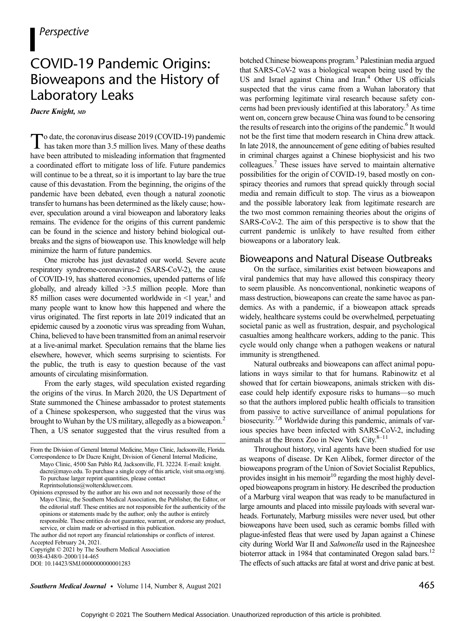# COVID-19 Pandemic Origins: Bioweapons and the History of Laboratory Leaks

Dacre Knight, MD

To date, the coronavirus disease 2019 (COVID-19) pandemic<br>has taken more than 3.5 million lives. Many of these deaths have been attributed to misleading information that fragmented a coordinated effort to mitigate loss of life. Future pandemics will continue to be a threat, so it is important to lay bare the true cause of this devastation. From the beginning, the origins of the pandemic have been debated, even though a natural zoonotic transfer to humans has been determined as the likely cause; however, speculation around a viral bioweapon and laboratory leaks remains. The evidence for the origins of this current pandemic can be found in the science and history behind biological outbreaks and the signs of bioweapon use. This knowledge will help minimize the harm of future pandemics.

One microbe has just devastated our world. Severe acute respiratory syndrome-coronavirus-2 (SARS-CoV-2), the cause of COVID-19, has shattered economies, upended patterns of life globally, and already killed >3.5 million people. More than 85 million cases were documented worldwide in  $\leq 1$  year,<sup>1</sup> and many people want to know how this happened and where the virus originated. The first reports in late 2019 indicated that an epidemic caused by a zoonotic virus was spreading from Wuhan, China, believed to have been transmitted from an animal reservoir at a live-animal market. Speculation remains that the blame lies elsewhere, however, which seems surprising to scientists. For the public, the truth is easy to question because of the vast amounts of circulating misinformation.

From the early stages, wild speculation existed regarding the origins of the virus. In March 2020, the US Department of State summoned the Chinese ambassador to protest statements of a Chinese spokesperson, who suggested that the virus was brought to Wuhan by the US military, allegedly as a bioweapon.2 Then, a US senator suggested that the virus resulted from a

From the Division of General Internal Medicine, Mayo Clinic, Jacksonville, Florida. Correspondence to Dr Dacre Knight, Division of General Internal Medicine, Mayo Clinic, 4500 San Pablo Rd, Jacksonville, FL 32224. E-mail: [knight.](mailto:knight.dacre@mayo.edu) [dacre@mayo.edu.](mailto:knight.dacre@mayo.edu) To purchase a single copy of this article, visit [sma.org/smj](http://sma.org/smj). To purchase larger reprint quantities, please contact

[Reprintsolutions@wolterskluwer.com.](mailto:Reprintsolutions@wolterskluwer.com)

Opinions expressed by the author are his own and not necessarily those of the Mayo Clinic, the Southern Medical Association, the Publisher, the Editor, or the editorial staff. These entities are not responsible for the authenticity of the opinions or statements made by the author; only the author is entirely responsible. These entities do not guarantee, warrant, or endorse any product, service, or claim made or advertised in this publication.

The author did not report any financial relationships or conflicts of interest. Accepted February 24, 2021.

Copyright © 2021 by The Southern Medical Association

0038-4348/0–2000/114-465

DOI: 10.14423/SMJ.0000000000001283

botched Chinese bioweapons program.<sup>3</sup> Palestinian media argued that SARS-CoV-2 was a biological weapon being used by the US and Israel against China and Iran.<sup>4</sup> Other US officials suspected that the virus came from a Wuhan laboratory that was performing legitimate viral research because safety concerns had been previously identified at this laboratory.<sup>5</sup> As time went on, concern grew because China was found to be censoring the results of research into the origins of the pandemic.<sup>6</sup> It would not be the first time that modern research in China drew attack. In late 2018, the announcement of gene editing of babies resulted in criminal charges against a Chinese biophysicist and his two colleagues.7 These issues have served to maintain alternative possibilities for the origin of COVID-19, based mostly on conspiracy theories and rumors that spread quickly through social media and remain difficult to stop. The virus as a bioweapon and the possible laboratory leak from legitimate research are the two most common remaining theories about the origins of SARS-CoV-2. The aim of this perspective is to show that the current pandemic is unlikely to have resulted from either bioweapons or a laboratory leak.

#### Bioweapons and Natural Disease Outbreaks

On the surface, similarities exist between bioweapons and viral pandemics that may have allowed this conspiracy theory to seem plausible. As nonconventional, nonkinetic weapons of mass destruction, bioweapons can create the same havoc as pandemics. As with a pandemic, if a bioweapon attack spreads widely, healthcare systems could be overwhelmed, perpetuating societal panic as well as frustration, despair, and psychological casualties among healthcare workers, adding to the panic. This cycle would only change when a pathogen weakens or natural immunity is strengthened.

Natural outbreaks and bioweapons can affect animal populations in ways similar to that for humans. Rabinowitz et al showed that for certain bioweapons, animals stricken with disease could help identify exposure risks to humans—so much so that the authors implored public health officials to transition from passive to active surveillance of animal populations for biosecurity.<sup>7,8</sup> Worldwide during this pandemic, animals of various species have been infected with SARS-CoV-2, including animals at the Bronx Zoo in New York City. $8-11$ 

Throughout history, viral agents have been studied for use as weapons of disease. Dr Ken Alibek, former director of the bioweapons program of the Union of Soviet Socialist Republics, provides insight in his memoir $10$  regarding the most highly developed bioweapons program in history. He described the production of a Marburg viral weapon that was ready to be manufactured in large amounts and placed into missile payloads with several warheads. Fortunately, Marburg missiles were never used, but other bioweapons have been used, such as ceramic bombs filled with plague-infested fleas that were used by Japan against a Chinese city during World War II and Salmonella used in the Rajneeshee bioterror attack in 1984 that contaminated Oregon salad bars.<sup>12</sup> The effects of such attacks are fatal at worst and drive panic at best.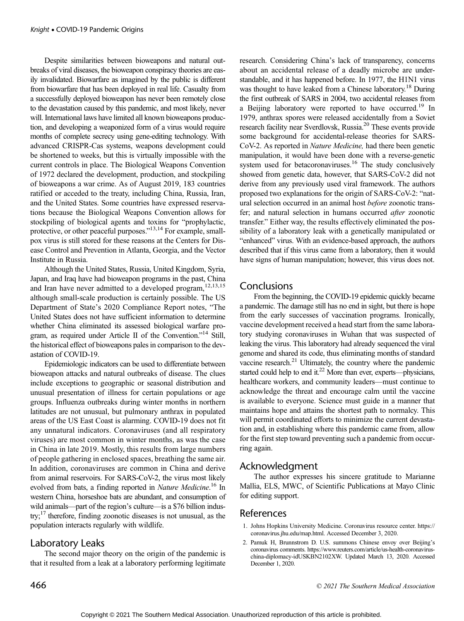Despite similarities between bioweapons and natural outbreaks of viral diseases, the bioweapon conspiracy theories are easily invalidated. Biowarfare as imagined by the public is different from biowarfare that has been deployed in real life. Casualty from a successfully deployed bioweapon has never been remotely close to the devastation caused by this pandemic, and most likely, never will. International laws have limited all known bioweapons production, and developing a weaponized form of a virus would require months of complete secrecy using gene-editing technology. With advanced CRISPR-Cas systems, weapons development could be shortened to weeks, but this is virtually impossible with the current controls in place. The Biological Weapons Convention of 1972 declared the development, production, and stockpiling of bioweapons a war crime. As of August 2019, 183 countries ratified or acceded to the treaty, including China, Russia, Iran, and the United States. Some countries have expressed reservations because the Biological Weapons Convention allows for stockpiling of biological agents and toxins for "prophylactic, protective, or other peaceful purposes."13,14 For example, smallpox virus is still stored for these reasons at the Centers for Disease Control and Prevention in Atlanta, Georgia, and the Vector Institute in Russia.

Although the United States, Russia, United Kingdom, Syria, Japan, and Iraq have had bioweapon programs in the past, China and Iran have never admitted to a developed program,  $12,13,15$ although small-scale production is certainly possible. The US Department of State's 2020 Compliance Report notes, "The United States does not have sufficient information to determine whether China eliminated its assessed biological warfare program, as required under Article II of the Convention."<sup>14</sup> Still, the historical effect of bioweapons pales in comparison to the devastation of COVID-19.

Epidemiologic indicators can be used to differentiate between bioweapon attacks and natural outbreaks of disease. The clues include exceptions to geographic or seasonal distribution and unusual presentation of illness for certain populations or age groups. Influenza outbreaks during winter months in northern latitudes are not unusual, but pulmonary anthrax in populated areas of the US East Coast is alarming. COVID-19 does not fit any unnatural indicators. Coronaviruses (and all respiratory viruses) are most common in winter months, as was the case in China in late 2019. Mostly, this results from large numbers of people gathering in enclosed spaces, breathing the same air. In addition, coronaviruses are common in China and derive from animal reservoirs. For SARS-CoV-2, the virus most likely evolved from bats, a finding reported in Nature Medicine.<sup>16</sup> In western China, horseshoe bats are abundant, and consumption of wild animals—part of the region's culture—is a \$76 billion indus- $\text{try:}^{17}$  therefore, finding zoonotic diseases is not unusual, as the population interacts regularly with wildlife.

# Laboratory Leaks

The second major theory on the origin of the pandemic is that it resulted from a leak at a laboratory performing legitimate research. Considering China's lack of transparency, concerns about an accidental release of a deadly microbe are understandable, and it has happened before. In 1977, the H1N1 virus was thought to have leaked from a Chinese laboratory.<sup>18</sup> During the first outbreak of SARS in 2004, two accidental releases from a Beijing laboratory were reported to have occurred.<sup>19</sup> In 1979, anthrax spores were released accidentally from a Soviet research facility near Sverdlovsk, Russia.<sup>20</sup> These events provide some background for accidental-release theories for SARS-CoV-2. As reported in Nature Medicine, had there been genetic manipulation, it would have been done with a reverse-genetic system used for betacoronaviruses.<sup>16</sup> The study conclusively showed from genetic data, however, that SARS-CoV-2 did not derive from any previously used viral framework. The authors proposed two explanations for the origin of SARS-CoV-2: "natural selection occurred in an animal host before zoonotic transfer; and natural selection in humans occurred *after* zoonotic transfer." Either way, the results effectively eliminated the possibility of a laboratory leak with a genetically manipulated or "enhanced" virus. With an evidence-based approach, the authors described that if this virus came from a laboratory, then it would have signs of human manipulation; however, this virus does not.

#### **Conclusions**

From the beginning, the COVID-19 epidemic quickly became a pandemic. The damage still has no end in sight, but there is hope from the early successes of vaccination programs. Ironically, vaccine development received a head start from the same laboratory studying coronaviruses in Wuhan that was suspected of leaking the virus. This laboratory had already sequenced the viral genome and shared its code, thus eliminating months of standard vaccine research. $^{21}$  Ultimately, the country where the pandemic started could help to end it.<sup>22</sup> More than ever, experts—physicians, healthcare workers, and community leaders—must continue to acknowledge the threat and encourage calm until the vaccine is available to everyone. Science must guide in a manner that maintains hope and attains the shortest path to normalcy. This will permit coordinated efforts to minimize the current devastation and, in establishing where this pandemic came from, allow for the first step toward preventing such a pandemic from occurring again.

## Acknowledgment

The author expresses his sincere gratitude to Marianne Mallia, ELS, MWC, of Scientific Publications at Mayo Clinic for editing support.

## References

- 1. Johns Hopkins University Medicine. Coronavirus resource center. [https://](https://coronavirus.jhu.edu/map.html) [coronavirus.jhu.edu/map.html](https://coronavirus.jhu.edu/map.html). Accessed December 3, 2020.
- 2. Pamuk H, Brunnstrom D. U.S. summons Chinese envoy over Beijing's coronavirus comments. [https://www.reuters.com/article/us-health-coronavirus](https://www.reuters.com/article/us-health-coronavirus-china-diplomacy-idUSKBN2102XW)[china-diplomacy-idUSKBN2102XW.](https://www.reuters.com/article/us-health-coronavirus-china-diplomacy-idUSKBN2102XW) Updated March 13, 2020. Accessed December 1, 2020.

466 © 2021 The Southern Medical Association